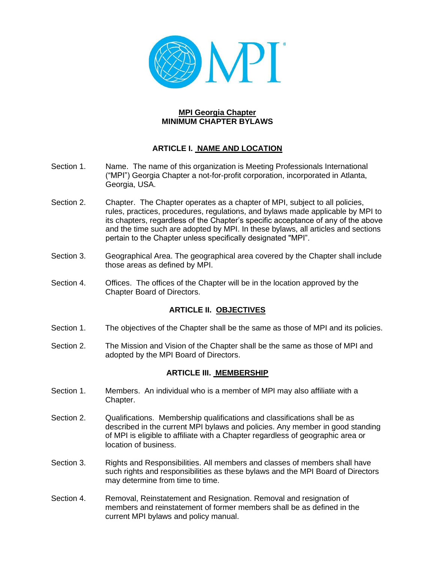

#### **MPI Georgia Chapter MINIMUM CHAPTER BYLAWS**

## **ARTICLE I. NAME AND LOCATION**

- Section 1. Name. The name of this organization is Meeting Professionals International ("MPI") Georgia Chapter a not-for-profit corporation, incorporated in Atlanta, Georgia, USA.
- Section 2. Chapter. The Chapter operates as a chapter of MPI, subject to all policies, rules, practices, procedures, regulations, and bylaws made applicable by MPI to its chapters, regardless of the Chapter's specific acceptance of any of the above and the time such are adopted by MPI. In these bylaws, all articles and sections pertain to the Chapter unless specifically designated "MPI".
- Section 3. Geographical Area. The geographical area covered by the Chapter shall include those areas as defined by MPI.
- Section 4. Offices. The offices of the Chapter will be in the location approved by the Chapter Board of Directors.

#### **ARTICLE II. OBJECTIVES**

- Section 1. The objectives of the Chapter shall be the same as those of MPI and its policies.
- Section 2. The Mission and Vision of the Chapter shall be the same as those of MPI and adopted by the MPI Board of Directors.

#### **ARTICLE III. MEMBERSHIP**

- Section 1. Members. An individual who is a member of MPI may also affiliate with a Chapter.
- Section 2. Qualifications. Membership qualifications and classifications shall be as described in the current MPI bylaws and policies. Any member in good standing of MPI is eligible to affiliate with a Chapter regardless of geographic area or location of business.
- Section 3. Rights and Responsibilities. All members and classes of members shall have such rights and responsibilities as these bylaws and the MPI Board of Directors may determine from time to time.
- Section 4. Removal, Reinstatement and Resignation. Removal and resignation of members and reinstatement of former members shall be as defined in the current MPI bylaws and policy manual.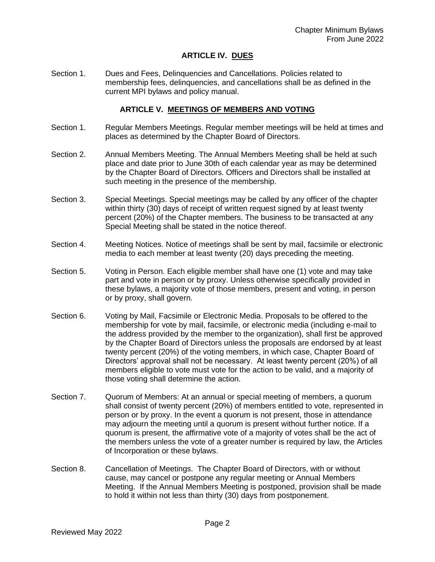### **ARTICLE IV. DUES**

Section 1. Dues and Fees, Delinquencies and Cancellations. Policies related to membership fees, delinquencies, and cancellations shall be as defined in the current MPI bylaws and policy manual.

#### **ARTICLE V. MEETINGS OF MEMBERS AND VOTING**

- Section 1. Regular Members Meetings. Regular member meetings will be held at times and places as determined by the Chapter Board of Directors.
- Section 2. Annual Members Meeting. The Annual Members Meeting shall be held at such place and date prior to June 30th of each calendar year as may be determined by the Chapter Board of Directors. Officers and Directors shall be installed at such meeting in the presence of the membership.
- Section 3. Special Meetings. Special meetings may be called by any officer of the chapter within thirty (30) days of receipt of written request signed by at least twenty percent (20%) of the Chapter members. The business to be transacted at any Special Meeting shall be stated in the notice thereof.
- Section 4. Meeting Notices. Notice of meetings shall be sent by mail, facsimile or electronic media to each member at least twenty (20) days preceding the meeting.
- Section 5. Voting in Person. Each eligible member shall have one (1) vote and may take part and vote in person or by proxy. Unless otherwise specifically provided in these bylaws, a majority vote of those members, present and voting, in person or by proxy, shall govern.
- Section 6. Voting by Mail, Facsimile or Electronic Media. Proposals to be offered to the membership for vote by mail, facsimile, or electronic media (including e-mail to the address provided by the member to the organization), shall first be approved by the Chapter Board of Directors unless the proposals are endorsed by at least twenty percent (20%) of the voting members, in which case, Chapter Board of Directors' approval shall not be necessary. At least twenty percent (20%) of all members eligible to vote must vote for the action to be valid, and a majority of those voting shall determine the action.
- Section 7. Quorum of Members: At an annual or special meeting of members, a quorum shall consist of twenty percent (20%) of members entitled to vote, represented in person or by proxy. In the event a quorum is not present, those in attendance may adjourn the meeting until a quorum is present without further notice. If a quorum is present, the affirmative vote of a majority of votes shall be the act of the members unless the vote of a greater number is required by law, the Articles of Incorporation or these bylaws.
- Section 8. Cancellation of Meetings. The Chapter Board of Directors, with or without cause, may cancel or postpone any regular meeting or Annual Members Meeting. If the Annual Members Meeting is postponed, provision shall be made to hold it within not less than thirty (30) days from postponement.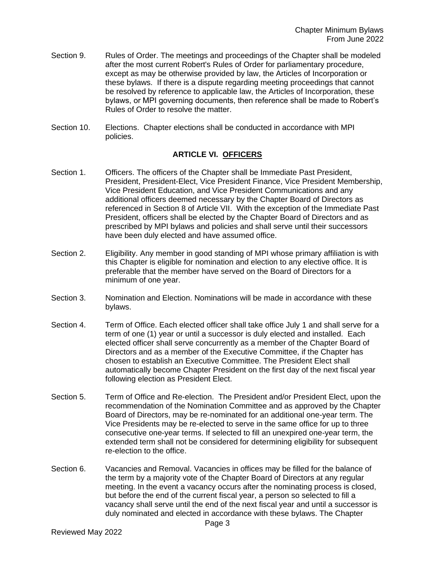- Section 9. Rules of Order. The meetings and proceedings of the Chapter shall be modeled after the most current Robert's Rules of Order for parliamentary procedure, except as may be otherwise provided by law, the Articles of Incorporation or these bylaws. If there is a dispute regarding meeting proceedings that cannot be resolved by reference to applicable law, the Articles of Incorporation, these bylaws, or MPI governing documents, then reference shall be made to Robert's Rules of Order to resolve the matter.
- Section 10. Elections. Chapter elections shall be conducted in accordance with MPI policies.

## **ARTICLE VI. OFFICERS**

- Section 1. Officers. The officers of the Chapter shall be Immediate Past President, President, President-Elect, Vice President Finance, Vice President Membership, Vice President Education, and Vice President Communications and any additional officers deemed necessary by the Chapter Board of Directors as referenced in Section 8 of Article VII. With the exception of the Immediate Past President, officers shall be elected by the Chapter Board of Directors and as prescribed by MPI bylaws and policies and shall serve until their successors have been duly elected and have assumed office.
- Section 2. Eligibility. Any member in good standing of MPI whose primary affiliation is with this Chapter is eligible for nomination and election to any elective office. It is preferable that the member have served on the Board of Directors for a minimum of one year.
- Section 3. Nomination and Election. Nominations will be made in accordance with these bylaws.
- Section 4. Term of Office. Each elected officer shall take office July 1 and shall serve for a term of one (1) year or until a successor is duly elected and installed. Each elected officer shall serve concurrently as a member of the Chapter Board of Directors and as a member of the Executive Committee, if the Chapter has chosen to establish an Executive Committee. The President Elect shall automatically become Chapter President on the first day of the next fiscal year following election as President Elect.
- Section 5. Term of Office and Re-election. The President and/or President Elect, upon the recommendation of the Nomination Committee and as approved by the Chapter Board of Directors, may be re-nominated for an additional one-year term. The Vice Presidents may be re-elected to serve in the same office for up to three consecutive one-year terms. If selected to fill an unexpired one-year term, the extended term shall not be considered for determining eligibility for subsequent re-election to the office.
- Section 6. Vacancies and Removal. Vacancies in offices may be filled for the balance of the term by a majority vote of the Chapter Board of Directors at any regular meeting. In the event a vacancy occurs after the nominating process is closed, but before the end of the current fiscal year, a person so selected to fill a vacancy shall serve until the end of the next fiscal year and until a successor is duly nominated and elected in accordance with these bylaws. The Chapter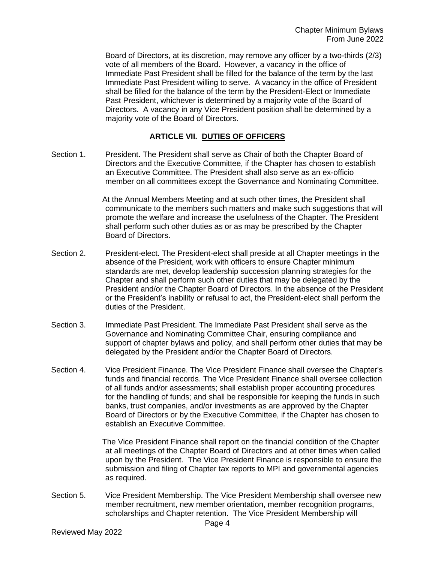Board of Directors, at its discretion, may remove any officer by a two-thirds (2/3) vote of all members of the Board. However, a vacancy in the office of Immediate Past President shall be filled for the balance of the term by the last Immediate Past President willing to serve. A vacancy in the office of President shall be filled for the balance of the term by the President-Elect or Immediate Past President, whichever is determined by a majority vote of the Board of Directors. A vacancy in any Vice President position shall be determined by a majority vote of the Board of Directors.

### **ARTICLE VII. DUTIES OF OFFICERS**

Section 1. President. The President shall serve as Chair of both the Chapter Board of Directors and the Executive Committee, if the Chapter has chosen to establish an Executive Committee. The President shall also serve as an ex-officio member on all committees except the Governance and Nominating Committee.

> At the Annual Members Meeting and at such other times, the President shall communicate to the members such matters and make such suggestions that will promote the welfare and increase the usefulness of the Chapter. The President shall perform such other duties as or as may be prescribed by the Chapter Board of Directors.

- Section 2. President-elect. The President-elect shall preside at all Chapter meetings in the absence of the President, work with officers to ensure Chapter minimum standards are met, develop leadership succession planning strategies for the Chapter and shall perform such other duties that may be delegated by the President and/or the Chapter Board of Directors. In the absence of the President or the President's inability or refusal to act, the President-elect shall perform the duties of the President.
- Section 3. Immediate Past President. The Immediate Past President shall serve as the Governance and Nominating Committee Chair, ensuring compliance and support of chapter bylaws and policy, and shall perform other duties that may be delegated by the President and/or the Chapter Board of Directors.
- Section 4. Vice President Finance. The Vice President Finance shall oversee the Chapter's funds and financial records. The Vice President Finance shall oversee collection of all funds and/or assessments; shall establish proper accounting procedures for the handling of funds; and shall be responsible for keeping the funds in such banks, trust companies, and/or investments as are approved by the Chapter Board of Directors or by the Executive Committee, if the Chapter has chosen to establish an Executive Committee.

The Vice President Finance shall report on the financial condition of the Chapter at all meetings of the Chapter Board of Directors and at other times when called upon by the President. The Vice President Finance is responsible to ensure the submission and filing of Chapter tax reports to MPI and governmental agencies as required.

Section 5. Vice President Membership. The Vice President Membership shall oversee new member recruitment, new member orientation, member recognition programs, scholarships and Chapter retention. The Vice President Membership will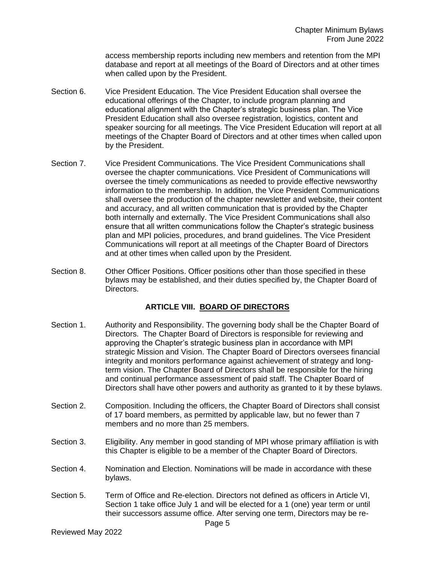access membership reports including new members and retention from the MPI database and report at all meetings of the Board of Directors and at other times when called upon by the President.

- Section 6. Vice President Education. The Vice President Education shall oversee the educational offerings of the Chapter, to include program planning and educational alignment with the Chapter's strategic business plan. The Vice President Education shall also oversee registration, logistics, content and speaker sourcing for all meetings. The Vice President Education will report at all meetings of the Chapter Board of Directors and at other times when called upon by the President.
- Section 7. Vice President Communications. The Vice President Communications shall oversee the chapter communications. Vice President of Communications will oversee the timely communications as needed to provide effective newsworthy information to the membership. In addition, the Vice President Communications shall oversee the production of the chapter newsletter and website, their content and accuracy, and all written communication that is provided by the Chapter both internally and externally. The Vice President Communications shall also ensure that all written communications follow the Chapter's strategic business plan and MPI policies, procedures, and brand guidelines. The Vice President Communications will report at all meetings of the Chapter Board of Directors and at other times when called upon by the President.
- Section 8. Other Officer Positions. Officer positions other than those specified in these bylaws may be established, and their duties specified by, the Chapter Board of Directors.

## **ARTICLE VIII. BOARD OF DIRECTORS**

- Section 1. Authority and Responsibility. The governing body shall be the Chapter Board of Directors. The Chapter Board of Directors is responsible for reviewing and approving the Chapter's strategic business plan in accordance with MPI strategic Mission and Vision. The Chapter Board of Directors oversees financial integrity and monitors performance against achievement of strategy and longterm vision. The Chapter Board of Directors shall be responsible for the hiring and continual performance assessment of paid staff. The Chapter Board of Directors shall have other powers and authority as granted to it by these bylaws.
- Section 2. Composition. Including the officers, the Chapter Board of Directors shall consist of 17 board members, as permitted by applicable law, but no fewer than 7 members and no more than 25 members.
- Section 3. Eligibility. Any member in good standing of MPI whose primary affiliation is with this Chapter is eligible to be a member of the Chapter Board of Directors.
- Section 4. Nomination and Election. Nominations will be made in accordance with these bylaws.
- Section 5. Term of Office and Re-election. Directors not defined as officers in Article VI, Section 1 take office July 1 and will be elected for a 1 (one) year term or until their successors assume office. After serving one term, Directors may be re-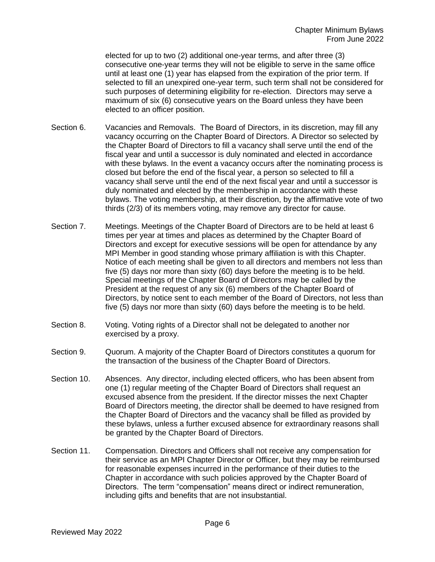elected for up to two (2) additional one-year terms, and after three (3) consecutive one-year terms they will not be eligible to serve in the same office until at least one (1) year has elapsed from the expiration of the prior term. If selected to fill an unexpired one-year term, such term shall not be considered for such purposes of determining eligibility for re-election. Directors may serve a maximum of six (6) consecutive years on the Board unless they have been elected to an officer position.

- Section 6. Vacancies and Removals. The Board of Directors, in its discretion, may fill any vacancy occurring on the Chapter Board of Directors. A Director so selected by the Chapter Board of Directors to fill a vacancy shall serve until the end of the fiscal year and until a successor is duly nominated and elected in accordance with these bylaws. In the event a vacancy occurs after the nominating process is closed but before the end of the fiscal year, a person so selected to fill a vacancy shall serve until the end of the next fiscal year and until a successor is duly nominated and elected by the membership in accordance with these bylaws. The voting membership, at their discretion, by the affirmative vote of two thirds (2/3) of its members voting, may remove any director for cause.
- Section 7. Meetings. Meetings of the Chapter Board of Directors are to be held at least 6 times per year at times and places as determined by the Chapter Board of Directors and except for executive sessions will be open for attendance by any MPI Member in good standing whose primary affiliation is with this Chapter. Notice of each meeting shall be given to all directors and members not less than five (5) days nor more than sixty (60) days before the meeting is to be held. Special meetings of the Chapter Board of Directors may be called by the President at the request of any six (6) members of the Chapter Board of Directors, by notice sent to each member of the Board of Directors, not less than five (5) days nor more than sixty (60) days before the meeting is to be held.
- Section 8. Voting. Voting rights of a Director shall not be delegated to another nor exercised by a proxy.
- Section 9. Quorum. A majority of the Chapter Board of Directors constitutes a quorum for the transaction of the business of the Chapter Board of Directors.
- Section 10. Absences. Any director, including elected officers, who has been absent from one (1) regular meeting of the Chapter Board of Directors shall request an excused absence from the president. If the director misses the next Chapter Board of Directors meeting, the director shall be deemed to have resigned from the Chapter Board of Directors and the vacancy shall be filled as provided by these bylaws, unless a further excused absence for extraordinary reasons shall be granted by the Chapter Board of Directors.
- Section 11. Compensation. Directors and Officers shall not receive any compensation for their service as an MPI Chapter Director or Officer, but they may be reimbursed for reasonable expenses incurred in the performance of their duties to the Chapter in accordance with such policies approved by the Chapter Board of Directors. The term "compensation" means direct or indirect remuneration, including gifts and benefits that are not insubstantial.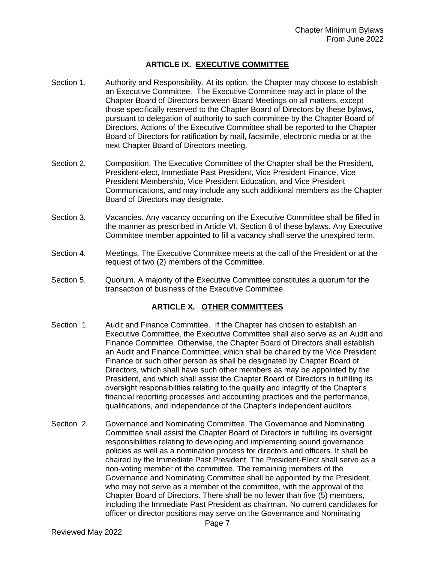### **ARTICLE IX. EXECUTIVE COMMITTEE**

- Section 1. Authority and Responsibility. At its option, the Chapter may choose to establish an Executive Committee. The Executive Committee may act in place of the Chapter Board of Directors between Board Meetings on all matters, except those specifically reserved to the Chapter Board of Directors by these bylaws, pursuant to delegation of authority to such committee by the Chapter Board of Directors. Actions of the Executive Committee shall be reported to the Chapter Board of Directors for ratification by mail, facsimile, electronic media or at the next Chapter Board of Directors meeting.
- Section 2. Composition. The Executive Committee of the Chapter shall be the President, President-elect, Immediate Past President, Vice President Finance, Vice President Membership, Vice President Education, and Vice President Communications, and may include any such additional members as the Chapter Board of Directors may designate.
- Section 3. Vacancies. Any vacancy occurring on the Executive Committee shall be filled in the manner as prescribed in Article VI, Section 6 of these bylaws. Any Executive Committee member appointed to fill a vacancy shall serve the unexpired term.
- Section 4. Meetings. The Executive Committee meets at the call of the President or at the request of two (2) members of the Committee.
- Section 5. Quorum. A majority of the Executive Committee constitutes a quorum for the transaction of business of the Executive Committee.

#### **ARTICLE X. OTHER COMMITTEES**

- Section 1. Audit and Finance Committee. If the Chapter has chosen to establish an Executive Committee, the Executive Committee shall also serve as an Audit and Finance Committee. Otherwise, the Chapter Board of Directors shall establish an Audit and Finance Committee, which shall be chaired by the Vice President Finance or such other person as shall be designated by Chapter Board of Directors, which shall have such other members as may be appointed by the President, and which shall assist the Chapter Board of Directors in fulfilling its oversight responsibilities relating to the quality and integrity of the Chapter's financial reporting processes and accounting practices and the performance, qualifications, and independence of the Chapter's independent auditors.
- Section 2. Governance and Nominating Committee. The Governance and Nominating Committee shall assist the Chapter Board of Directors in fulfilling its oversight responsibilities relating to developing and implementing sound governance policies as well as a nomination process for directors and officers. It shall be chaired by the Immediate Past President. The President-Elect shall serve as a non-voting member of the committee. The remaining members of the Governance and Nominating Committee shall be appointed by the President, who may not serve as a member of the committee, with the approval of the Chapter Board of Directors. There shall be no fewer than five (5) members, including the Immediate Past President as chairman. No current candidates for officer or director positions may serve on the Governance and Nominating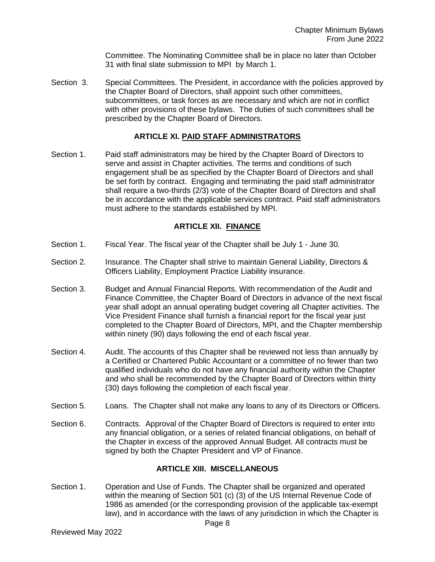Committee. The Nominating Committee shall be in place no later than October 31 with final slate submission to MPI by March 1.

Section 3. Special Committees. The President, in accordance with the policies approved by the Chapter Board of Directors, shall appoint such other committees, subcommittees, or task forces as are necessary and which are not in conflict with other provisions of these bylaws. The duties of such committees shall be prescribed by the Chapter Board of Directors.

## **ARTICLE XI. PAID STAFF ADMINISTRATORS**

Section 1. Paid staff administrators may be hired by the Chapter Board of Directors to serve and assist in Chapter activities. The terms and conditions of such engagement shall be as specified by the Chapter Board of Directors and shall be set forth by contract. Engaging and terminating the paid staff administrator shall require a two-thirds (2/3) vote of the Chapter Board of Directors and shall be in accordance with the applicable services contract. Paid staff administrators must adhere to the standards established by MPI.

## **ARTICLE XII. FINANCE**

- Section 1. Fiscal Year. The fiscal year of the Chapter shall be July 1 June 30.
- Section 2. Insurance. The Chapter shall strive to maintain General Liability, Directors & Officers Liability, Employment Practice Liability insurance.
- Section 3. Budget and Annual Financial Reports. With recommendation of the Audit and Finance Committee, the Chapter Board of Directors in advance of the next fiscal year shall adopt an annual operating budget covering all Chapter activities. The Vice President Finance shall furnish a financial report for the fiscal year just completed to the Chapter Board of Directors, MPI, and the Chapter membership within ninety (90) days following the end of each fiscal year.
- Section 4. Audit. The accounts of this Chapter shall be reviewed not less than annually by a Certified or Chartered Public Accountant or a committee of no fewer than two qualified individuals who do not have any financial authority within the Chapter and who shall be recommended by the Chapter Board of Directors within thirty (30) days following the completion of each fiscal year.
- Section 5. Loans. The Chapter shall not make any loans to any of its Directors or Officers.
- Section 6. Contracts. Approval of the Chapter Board of Directors is required to enter into any financial obligation, or a series of related financial obligations, on behalf of the Chapter in excess of the approved Annual Budget. All contracts must be signed by both the Chapter President and VP of Finance.

# **ARTICLE XIII. MISCELLANEOUS**

Section 1. Operation and Use of Funds. The Chapter shall be organized and operated within the meaning of Section 501 (c) (3) of the US Internal Revenue Code of 1986 as amended (or the corresponding provision of the applicable tax-exempt law), and in accordance with the laws of any jurisdiction in which the Chapter is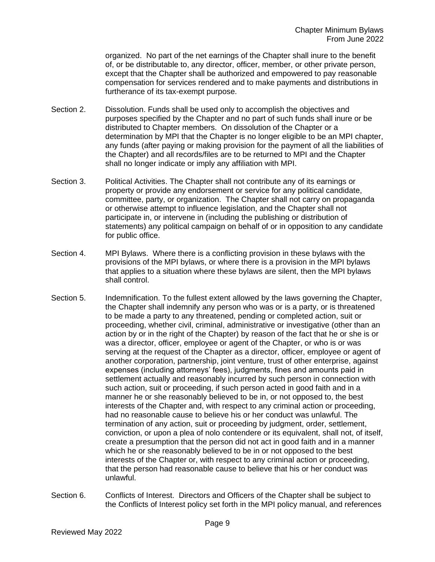organized. No part of the net earnings of the Chapter shall inure to the benefit of, or be distributable to, any director, officer, member, or other private person, except that the Chapter shall be authorized and empowered to pay reasonable compensation for services rendered and to make payments and distributions in furtherance of its tax-exempt purpose.

- Section 2. Dissolution. Funds shall be used only to accomplish the objectives and purposes specified by the Chapter and no part of such funds shall inure or be distributed to Chapter members. On dissolution of the Chapter or a determination by MPI that the Chapter is no longer eligible to be an MPI chapter, any funds (after paying or making provision for the payment of all the liabilities of the Chapter) and all records/files are to be returned to MPI and the Chapter shall no longer indicate or imply any affiliation with MPI.
- Section 3. Political Activities. The Chapter shall not contribute any of its earnings or property or provide any endorsement or service for any political candidate, committee, party, or organization. The Chapter shall not carry on propaganda or otherwise attempt to influence legislation, and the Chapter shall not participate in, or intervene in (including the publishing or distribution of statements) any political campaign on behalf of or in opposition to any candidate for public office.
- Section 4. MPI Bylaws. Where there is a conflicting provision in these bylaws with the provisions of the MPI bylaws, or where there is a provision in the MPI bylaws that applies to a situation where these bylaws are silent, then the MPI bylaws shall control.
- Section 5. Indemnification. To the fullest extent allowed by the laws governing the Chapter, the Chapter shall indemnify any person who was or is a party, or is threatened to be made a party to any threatened, pending or completed action, suit or proceeding, whether civil, criminal, administrative or investigative (other than an action by or in the right of the Chapter) by reason of the fact that he or she is or was a director, officer, employee or agent of the Chapter, or who is or was serving at the request of the Chapter as a director, officer, employee or agent of another corporation, partnership, joint venture, trust of other enterprise, against expenses (including attorneys' fees), judgments, fines and amounts paid in settlement actually and reasonably incurred by such person in connection with such action, suit or proceeding, if such person acted in good faith and in a manner he or she reasonably believed to be in, or not opposed to, the best interests of the Chapter and, with respect to any criminal action or proceeding, had no reasonable cause to believe his or her conduct was unlawful. The termination of any action, suit or proceeding by judgment, order, settlement, conviction, or upon a plea of nolo contendere or its equivalent, shall not, of itself, create a presumption that the person did not act in good faith and in a manner which he or she reasonably believed to be in or not opposed to the best interests of the Chapter or, with respect to any criminal action or proceeding, that the person had reasonable cause to believe that his or her conduct was unlawful.
- Section 6. Conflicts of Interest. Directors and Officers of the Chapter shall be subject to the Conflicts of Interest policy set forth in the MPI policy manual, and references